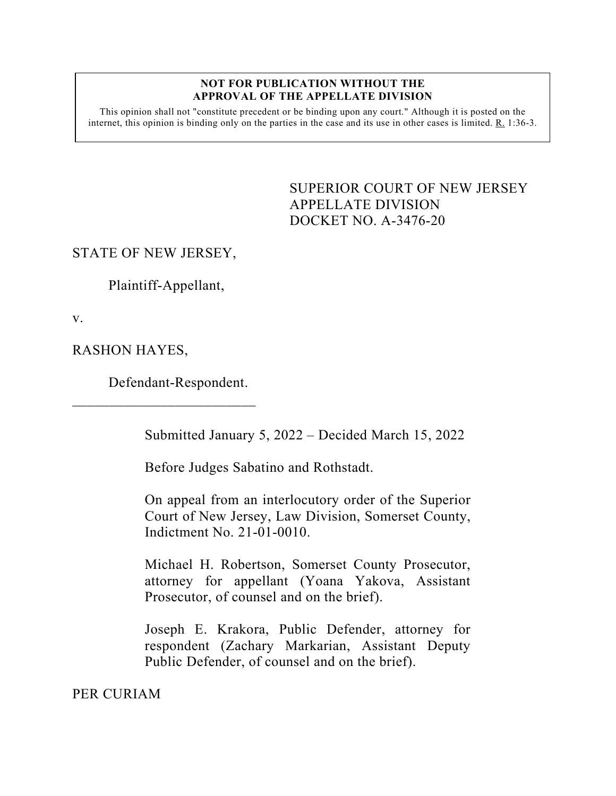## **NOT FOR PUBLICATION WITHOUT THE APPROVAL OF THE APPELLATE DIVISION**

This opinion shall not "constitute precedent or be binding upon any court." Although it is posted on the internet, this opinion is binding only on the parties in the case and its use in other cases is limited. R. 1:36-3.

> <span id="page-0-0"></span>SUPERIOR COURT OF NEW JERSEY APPELLATE DIVISION DOCKET NO. A-3476-20

## STATE OF NEW JERSEY,

Plaintiff-Appellant,

v.

RASHON HAYES,

Defendant-Respondent.

 $\overline{\phantom{a}}$  , which is a set of the set of the set of the set of the set of the set of the set of the set of the set of the set of the set of the set of the set of the set of the set of the set of the set of the set of th

Submitted January 5, 2022 – Decided March 15, 2022

Before Judges Sabatino and Rothstadt.

On appeal from an interlocutory order of the Superior Court of New Jersey, Law Division, Somerset County, Indictment No. 21-01-0010.

Michael H. Robertson, Somerset County Prosecutor, attorney for appellant (Yoana Yakova, Assistant Prosecutor, of counsel and on the brief).

Joseph E. Krakora, Public Defender, attorney for respondent (Zachary Markarian, Assistant Deputy Public Defender, of counsel and on the brief).

PER CURIAM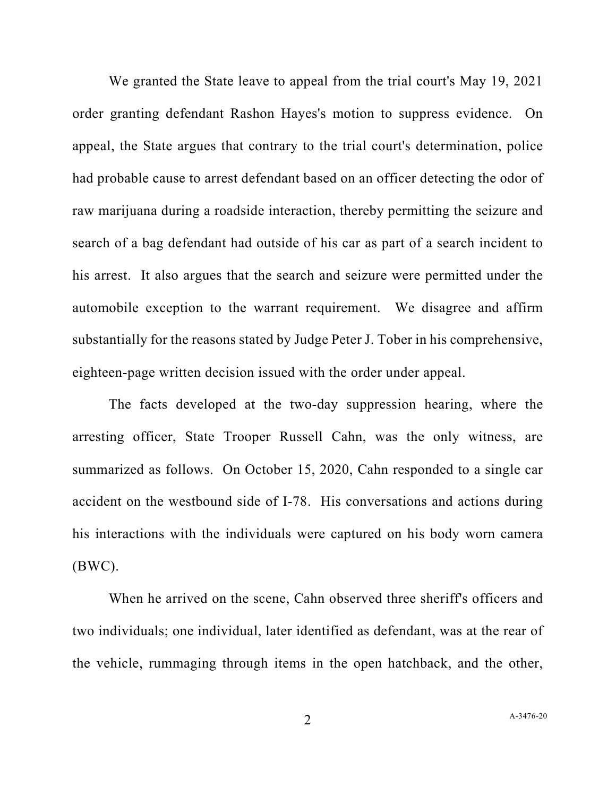We granted the State leave to appeal from the trial court's May 19, 2021 order granting defendant Rashon Hayes's motion to suppress evidence. On appeal, the State argues that contrary to the trial court's determination, police had probable cause to arrest defendant based on an officer detecting the odor of raw marijuana during a roadside interaction, thereby permitting the seizure and search of a bag defendant had outside of his car as part of a search incident to his arrest. It also argues that the search and seizure were permitted under the automobile exception to the warrant requirement. We disagree and affirm substantially for the reasons stated by Judge Peter J. Tober in his comprehensive, eighteen-page written decision issued with the order under appeal.

The facts developed at the two-day suppression hearing, where the arresting officer, State Trooper Russell Cahn, was the only witness, are summarized as follows. On October 15, 2020, Cahn responded to a single car accident on the westbound side of I-78. His conversations and actions during his interactions with the individuals were captured on his body worn camera  $(BWC)$ .

When he arrived on the scene, Cahn observed three sheriff's officers and two individuals; one individual, later identified as defendant, was at the rear of the vehicle, rummaging through items in the open hatchback, and the other,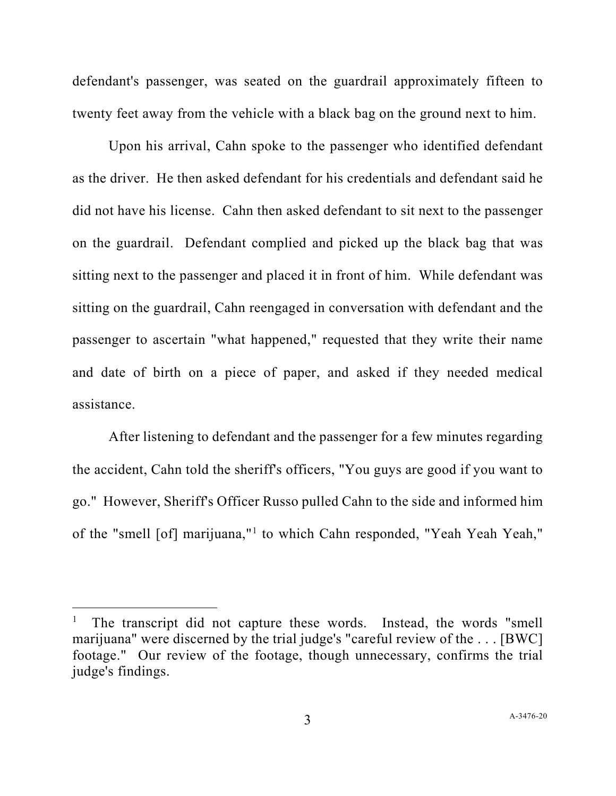defendant's passenger, was seated on the guardrail approximately fifteen to twenty feet away from the vehicle with a black bag on the ground next to him.

Upon his arrival, Cahn spoke to the passenger who identified defendant as the driver. He then asked defendant for his credentials and defendant said he did not have his license. Cahn then asked defendant to sit next to the passenger on the guardrail. Defendant complied and picked up the black bag that was sitting next to the passenger and placed it in front of him. While defendant was sitting on the guardrail, Cahn reengaged in conversation with defendant and the passenger to ascertain "what happened," requested that they write their name and date of birth on a piece of paper, and asked if they needed medical assistance.

After listening to defendant and the passenger for a few minutes regarding the accident, Cahn told the sheriff's officers, "You guys are good if you want to go." However, Sheriff's Officer Russo pulled Cahn to the side and informed him of the "smell [of] marijuana,"[1](#page-2-0) to which Cahn responded, "Yeah Yeah Yeah,"

<span id="page-2-0"></span>The transcript did not capture these words. Instead, the words "smell marijuana" were discerned by the trial judge's "careful review of the . . . [BWC] footage." Our review of the footage, though unnecessary, confirms the trial judge's findings.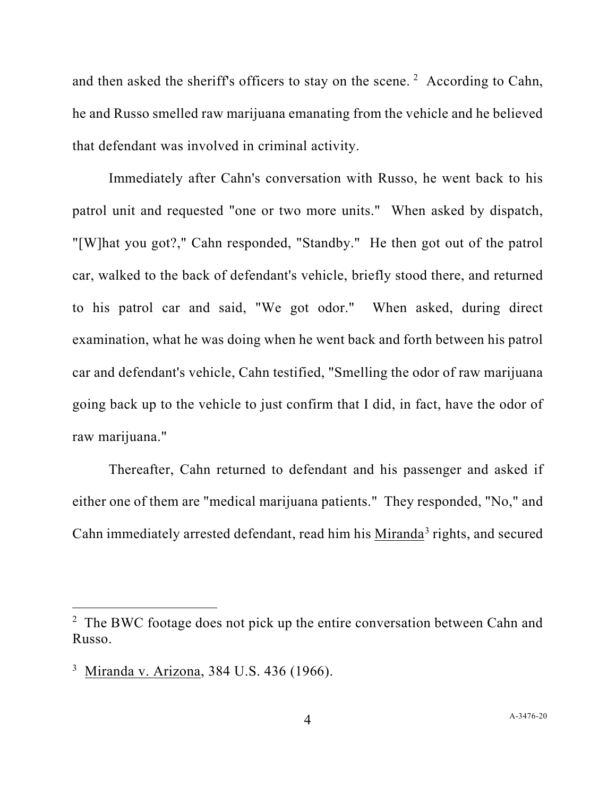and then asked the sheriff's officers to stay on the scene.<sup>[2](#page-3-0)</sup> According to Cahn, he and Russo smelled raw marijuana emanating from the vehicle and he believed that defendant was involved in criminal activity.

Immediately after Cahn's conversation with Russo, he went back to his patrol unit and requested "one or two more units." When asked by dispatch, "[W]hat you got?," Cahn responded, "Standby." He then got out of the patrol car, walked to the back of defendant's vehicle, briefly stood there, and returned to his patrol car and said, "We got odor." When asked, during direct examination, what he was doing when he went back and forth between his patrol car and defendant's vehicle, Cahn testified, "Smelling the odor of raw marijuana going back up to the vehicle to just confirm that I did, in fact, have the odor of raw marijuana."

Thereafter, Cahn returned to defendant and his passenger and asked if either one of them are "medical marijuana patients." They responded, "No," and Cahn immediately arrested defendant, read him his Miranda<sup>[3](#page-3-1)</sup> rights, and secured

<span id="page-3-0"></span> $2$  The BWC footage does not pick up the entire conversation between Cahn and Russo.

<span id="page-3-1"></span><sup>&</sup>lt;sup>3</sup> Miranda v. Arizona, 384 U.S. 436 (1966).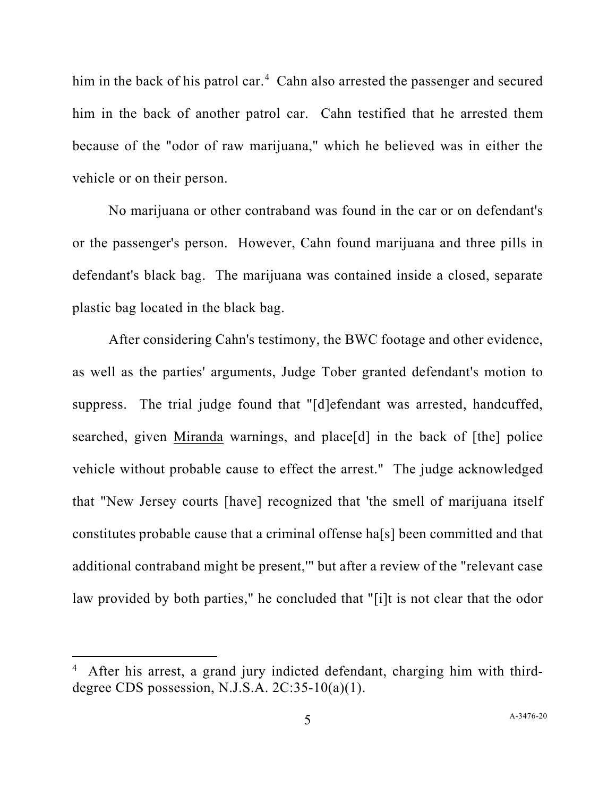him in the back of his patrol car.<sup>[4](#page-4-0)</sup> Cahn also arrested the passenger and secured him in the back of another patrol car. Cahn testified that he arrested them because of the "odor of raw marijuana," which he believed was in either the vehicle or on their person.

No marijuana or other contraband was found in the car or on defendant's or the passenger's person. However, Cahn found marijuana and three pills in defendant's black bag. The marijuana was contained inside a closed, separate plastic bag located in the black bag.

After considering Cahn's testimony, the BWC footage and other evidence, as well as the parties' arguments, Judge Tober granted defendant's motion to suppress. The trial judge found that "[d]efendant was arrested, handcuffed, searched, given Miranda warnings, and place[d] in the back of [the] police vehicle without probable cause to effect the arrest." The judge acknowledged that "New Jersey courts [have] recognized that 'the smell of marijuana itself constitutes probable cause that a criminal offense ha[s] been committed and that additional contraband might be present,'" but after a review of the "relevant case law provided by both parties," he concluded that "[i]t is not clear that the odor

<span id="page-4-0"></span><sup>4</sup> After his arrest, a grand jury indicted defendant, charging him with thirddegree CDS possession, N.J.S.A. 2C:35-10(a)(1).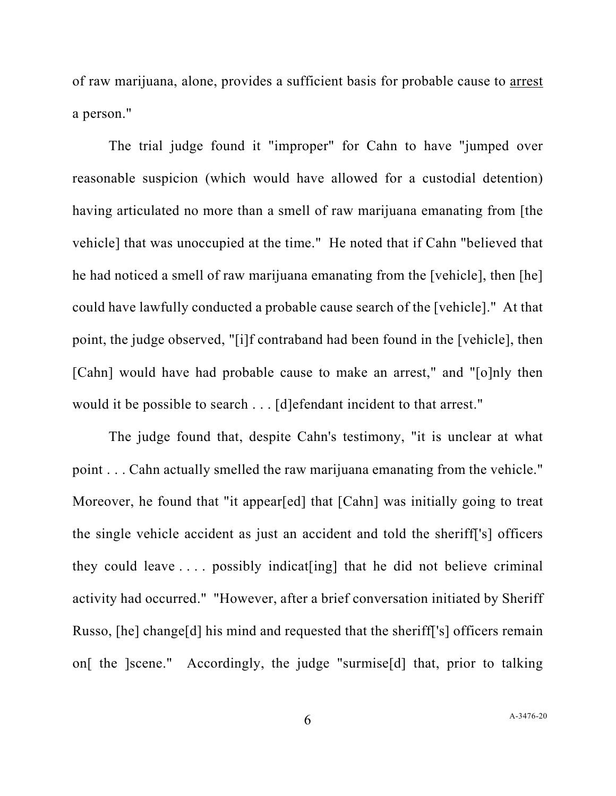of raw marijuana, alone, provides a sufficient basis for probable cause to arrest a person."

The trial judge found it "improper" for Cahn to have "jumped over reasonable suspicion (which would have allowed for a custodial detention) having articulated no more than a smell of raw marijuana emanating from [the vehicle] that was unoccupied at the time." He noted that if Cahn "believed that he had noticed a smell of raw marijuana emanating from the [vehicle], then [he] could have lawfully conducted a probable cause search of the [vehicle]." At that point, the judge observed, "[i]f contraband had been found in the [vehicle], then [Cahn] would have had probable cause to make an arrest," and "[o]nly then would it be possible to search . . . [d]efendant incident to that arrest."

The judge found that, despite Cahn's testimony, "it is unclear at what point . . . Cahn actually smelled the raw marijuana emanating from the vehicle." Moreover, he found that "it appear[ed] that [Cahn] was initially going to treat the single vehicle accident as just an accident and told the sheriff['s] officers they could leave  $\dots$  possibly indicat [ing] that he did not believe criminal activity had occurred." "However, after a brief conversation initiated by Sheriff Russo, [he] change[d] his mind and requested that the sheriff['s] officers remain on[ the ]scene." Accordingly, the judge "surmise[d] that, prior to talking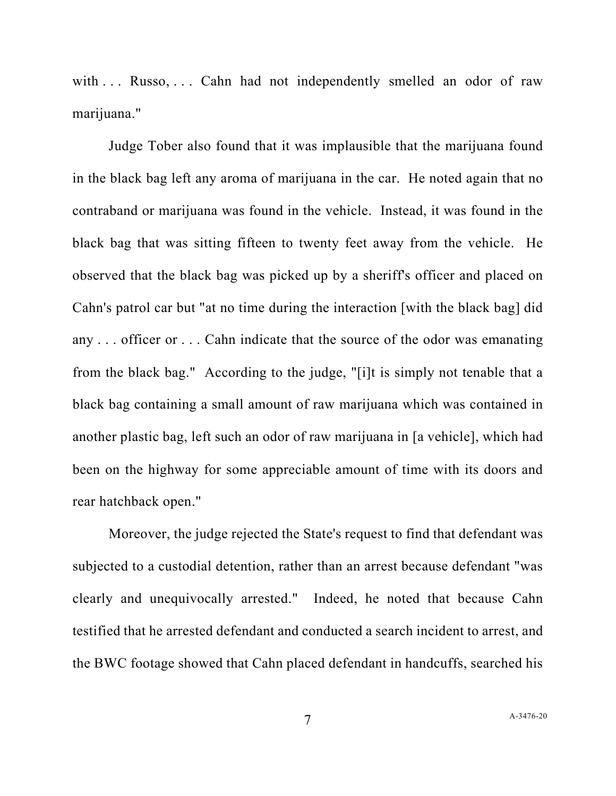with ... Russo, ... Cahn had not independently smelled an odor of raw marijuana."

Judge Tober also found that it was implausible that the marijuana found in the black bag left any aroma of marijuana in the car. He noted again that no contraband or marijuana was found in the vehicle. Instead, it was found in the black bag that was sitting fifteen to twenty feet away from the vehicle. He observed that the black bag was picked up by a sheriff's officer and placed on Cahn's patrol car but "at no time during the interaction [with the black bag] did any . . . officer or . . . Cahn indicate that the source of the odor was emanating from the black bag." According to the judge, "[i]t is simply not tenable that a black bag containing a small amount of raw marijuana which was contained in another plastic bag, left such an odor of raw marijuana in [a vehicle], which had been on the highway for some appreciable amount of time with its doors and rear hatchback open."

Moreover, the judge rejected the State's request to find that defendant was subjected to a custodial detention, rather than an arrest because defendant "was clearly and unequivocally arrested." Indeed, he noted that because Cahn testified that he arrested defendant and conducted a search incident to arrest, and the BWC footage showed that Cahn placed defendant in handcuffs, searched his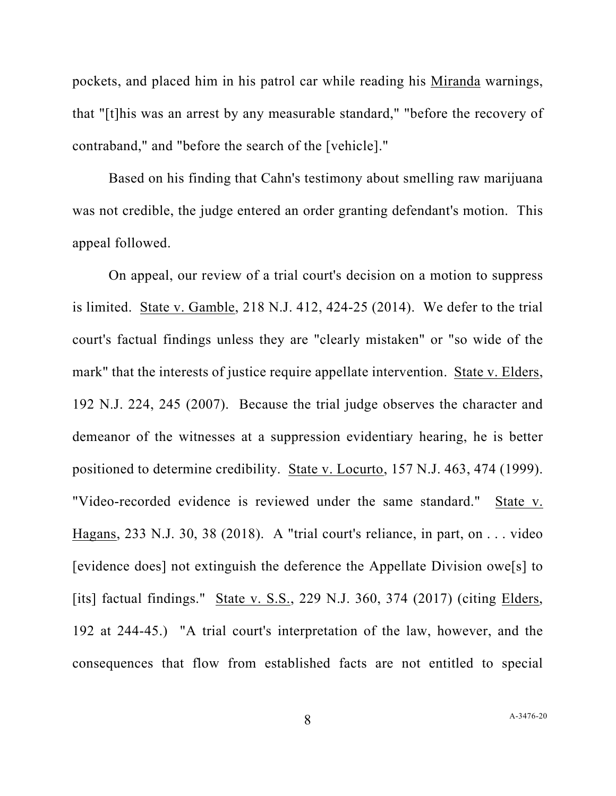pockets, and placed him in his patrol car while reading his Miranda warnings, that "[t]his was an arrest by any measurable standard," "before the recovery of contraband," and "before the search of the [vehicle]."

Based on his finding that Cahn's testimony about smelling raw marijuana was not credible, the judge entered an order granting defendant's motion. This appeal followed.

On appeal, our review of a trial court's decision on a motion to suppress is limited. State v. Gamble, 218 N.J. 412, 424-25 (2014). We defer to the trial court's factual findings unless they are "clearly mistaken" or "so wide of the mark" that the interests of justice require appellate intervention. State v. Elders, 192 N.J. 224, 245 (2007). Because the trial judge observes the character and demeanor of the witnesses at a suppression evidentiary hearing, he is better positioned to determine credibility. State v. Locurto, 157 N.J. 463, 474 (1999). "Video-recorded evidence is reviewed under the same standard." State v. Hagans, 233 N.J. 30, 38 (2018). A "trial court's reliance, in part, on . . . video [evidence does] not extinguish the deference the Appellate Division owe[s] to [its] factual findings." State v. S.S., 229 N.J. 360, 374 (2017) (citing Elders, 192 at 244-45.) "A trial court's interpretation of the law, however, and the consequences that flow from established facts are not entitled to special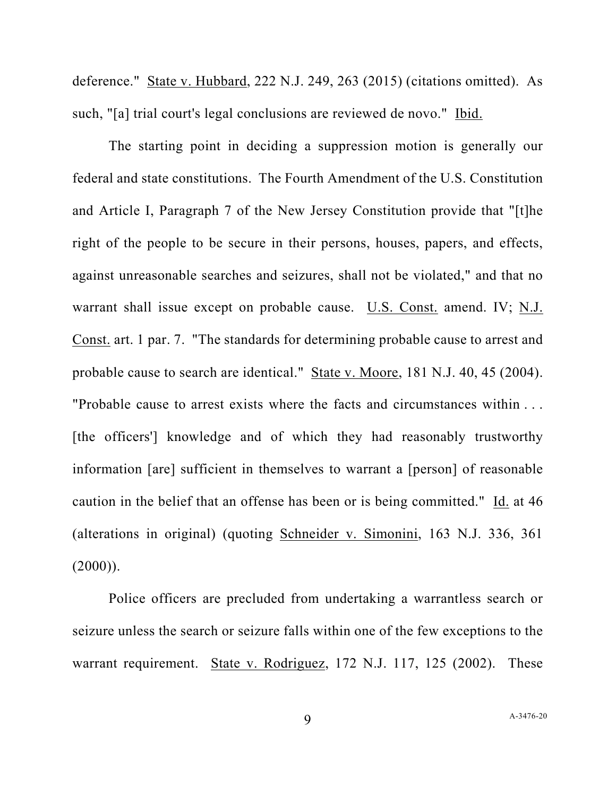deference." State v. Hubbard, 222 N.J. 249, 263 (2015) (citations omitted). As such, "[a] trial court's legal conclusions are reviewed de novo." Ibid.

The starting point in deciding a suppression motion is generally our federal and state constitutions. The Fourth Amendment of the U.S. Constitution and Article I, Paragraph 7 of the New Jersey Constitution provide that "[t]he right of the people to be secure in their persons, houses, papers, and effects, against unreasonable searches and seizures, shall not be violated," and that no warrant shall issue except on probable cause. U.S. Const. amend. IV; N.J. Const. art. 1 par. 7. "The standards for determining probable cause to arrest and probable cause to search are identical." State v. Moore, 181 N.J. 40, 45 (2004). "Probable cause to arrest exists where the facts and circumstances within . . . [the officers'] knowledge and of which they had reasonably trustworthy information [are] sufficient in themselves to warrant a [person] of reasonable caution in the belief that an offense has been or is being committed."  $\underline{Id}$ . at 46 (alterations in original) (quoting Schneider v. Simonini, 163 N.J. 336, 361  $(2000)$ ).

Police officers are precluded from undertaking a warrantless search or seizure unless the search or seizure falls within one of the few exceptions to the warrant requirement. State v. Rodriguez, 172 N.J. 117, 125 (2002). These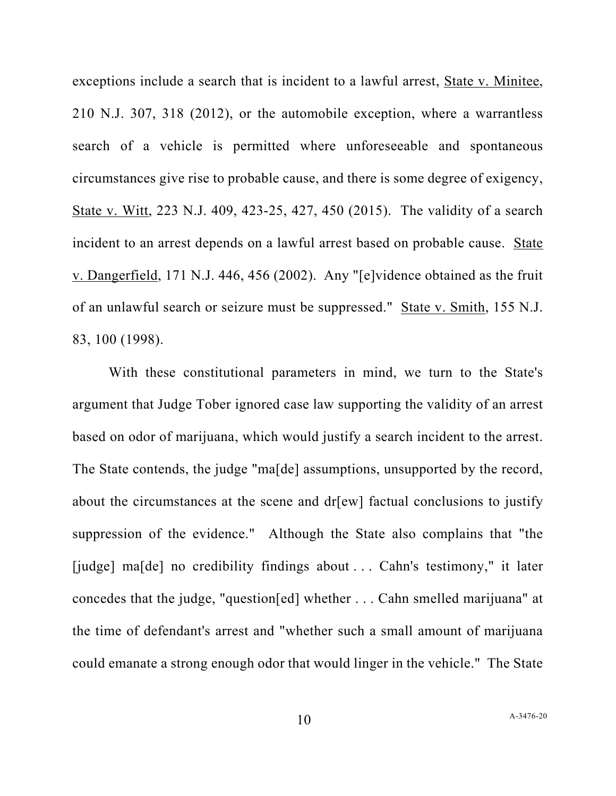exceptions include a search that is incident to a lawful arrest, State v. Minitee, 210 N.J. 307, 318 (2012), or the automobile exception, where a warrantless search of a vehicle is permitted where unforeseeable and spontaneous circumstances give rise to probable cause, and there is some degree of exigency, State v. Witt, 223 N.J. 409, 423-25, 427, 450 (2015). The validity of a search incident to an arrest depends on a lawful arrest based on probable cause. State v. Dangerfield, 171 N.J. 446, 456 (2002). Any "[e]vidence obtained as the fruit of an unlawful search or seizure must be suppressed." State v. Smith, 155 N.J. 83, 100 (1998).

With these constitutional parameters in mind, we turn to the State's argument that Judge Tober ignored case law supporting the validity of an arrest based on odor of marijuana, which would justify a search incident to the arrest. The State contends, the judge "ma[de] assumptions, unsupported by the record, about the circumstances at the scene and dr[ew] factual conclusions to justify suppression of the evidence." Although the State also complains that "the [judge] ma[de] no credibility findings about ... Cahn's testimony," it later concedes that the judge, "question[ed] whether . . . Cahn smelled marijuana" at the time of defendant's arrest and "whether such a small amount of marijuana could emanate a strong enough odor that would linger in the vehicle." The State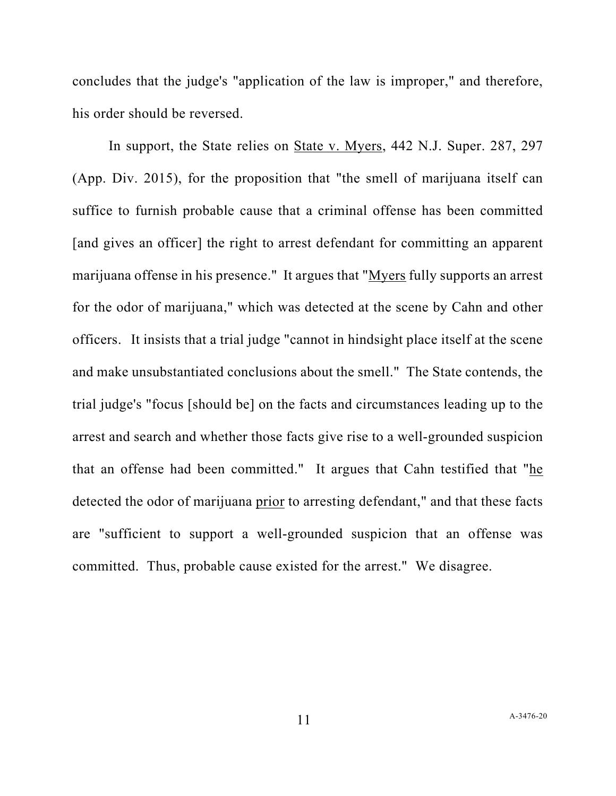concludes that the judge's "application of the law is improper," and therefore, his order should be reversed.

In support, the State relies on State v. Myers, 442 N.J. Super. 287, 297 (App. Div. 2015), for the proposition that "the smell of marijuana itself can suffice to furnish probable cause that a criminal offense has been committed [and gives an officer] the right to arrest defendant for committing an apparent marijuana offense in his presence." It argues that "Myers fully supports an arrest for the odor of marijuana," which was detected at the scene by Cahn and other officers. It insists that a trial judge "cannot in hindsight place itself at the scene and make unsubstantiated conclusions about the smell." The State contends, the trial judge's "focus [should be] on the facts and circumstances leading up to the arrest and search and whether those facts give rise to a well-grounded suspicion that an offense had been committed." It argues that Cahn testified that "he detected the odor of marijuana prior to arresting defendant," and that these facts are "sufficient to support a well-grounded suspicion that an offense was committed. Thus, probable cause existed for the arrest." We disagree.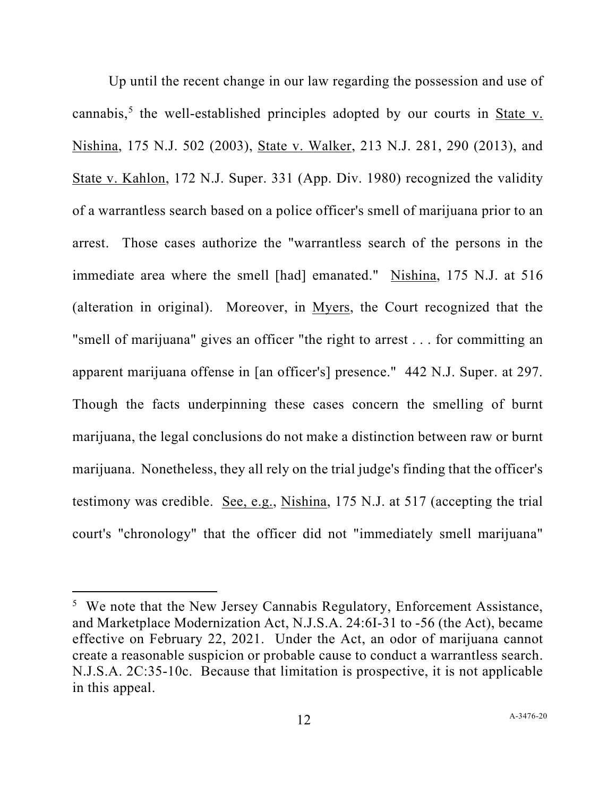Up until the recent change in our law regarding the possession and use of cannabis,<sup>[5](#page-11-0)</sup> the well-established principles adopted by our courts in State v. Nishina, 175 N.J. 502 (2003), State v. Walker, 213 N.J. 281, 290 (2013), and State v. Kahlon, 172 N.J. Super. 331 (App. Div. 1980) recognized the validity of a warrantless search based on a police officer's smell of marijuana prior to an arrest. Those cases authorize the "warrantless search of the persons in the immediate area where the smell [had] emanated." Nishina, 175 N.J. at 516 (alteration in original). Moreover, in Myers, the Court recognized that the "smell of marijuana" gives an officer "the right to arrest . . . for committing an apparent marijuana offense in [an officer's] presence." 442 N.J. Super. at 297. Though the facts underpinning these cases concern the smelling of burnt marijuana, the legal conclusions do not make a distinction between raw or burnt marijuana. Nonetheless, they all rely on the trial judge's finding that the officer's testimony was credible. See, e.g., Nishina, 175 N.J. at 517 (accepting the trial court's "chronology" that the officer did not "immediately smell marijuana"

<span id="page-11-0"></span><sup>&</sup>lt;sup>5</sup> We note that the New Jersey Cannabis Regulatory, Enforcement Assistance, and Marketplace Modernization Act, N.J.S.A. 24:6I-31 to -56 (the Act), became effective on February 22, 2021. Under the Act, an odor of marijuana cannot create a reasonable suspicion or probable cause to conduct a warrantless search. N.J.S.A. 2C:35-10c. Because that limitation is prospective, it is not applicable in this appeal.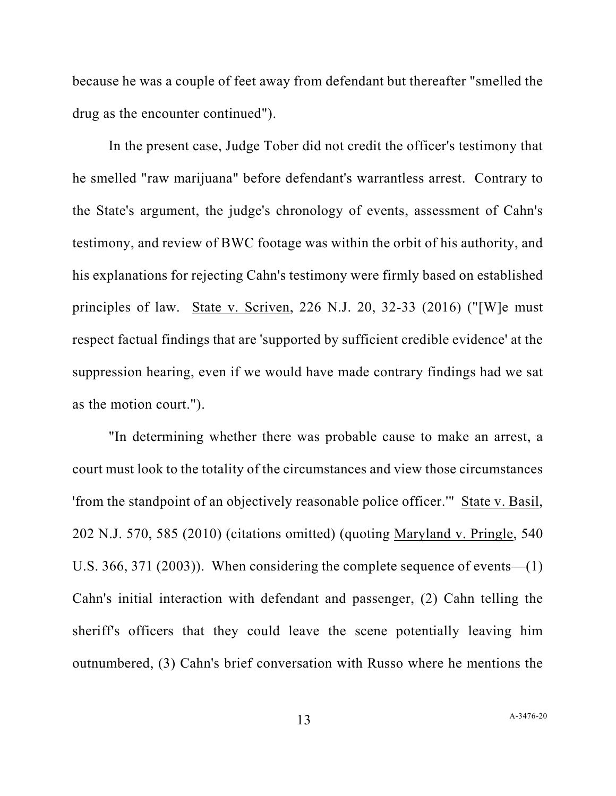because he was a couple of feet away from defendant but thereafter "smelled the drug as the encounter continued").

In the present case, Judge Tober did not credit the officer's testimony that he smelled "raw marijuana" before defendant's warrantless arrest. Contrary to the State's argument, the judge's chronology of events, assessment of Cahn's testimony, and review of BWC footage was within the orbit of his authority, and his explanations for rejecting Cahn's testimony were firmly based on established principles of law. State v. Scriven, 226 N.J. 20, 32-33 (2016) ("[W]e must respect factual findings that are 'supported by sufficient credible evidence' at the suppression hearing, even if we would have made contrary findings had we sat as the motion court.").

"In determining whether there was probable cause to make an arrest, a court must look to the totality of the circumstances and view those circumstances 'from the standpoint of an objectively reasonable police officer.'" State v. Basil, 202 N.J. 570, 585 (2010) (citations omitted) (quoting Maryland v. Pringle, 540 U.S. 366, 371 (2003)). When considering the complete sequence of events—(1) Cahn's initial interaction with defendant and passenger, (2) Cahn telling the sheriff's officers that they could leave the scene potentially leaving him outnumbered, (3) Cahn's brief conversation with Russo where he mentions the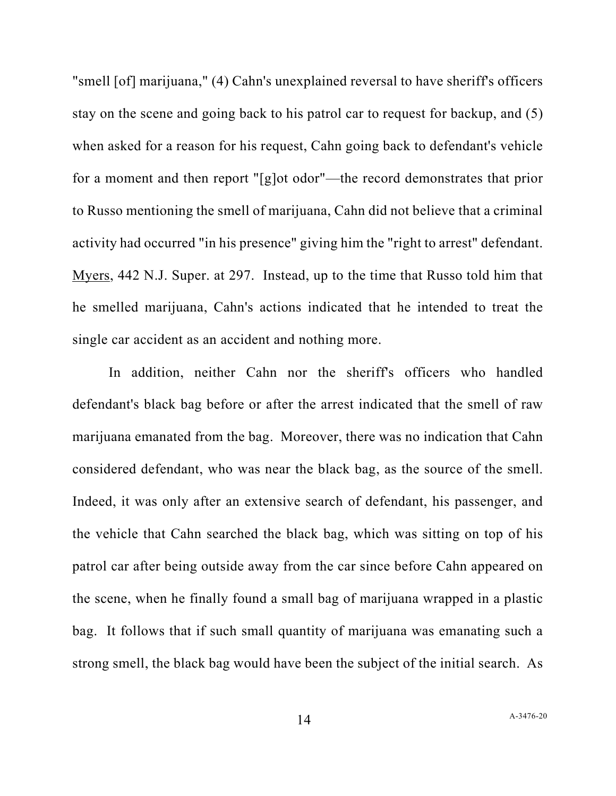"smell [of] marijuana," (4) Cahn's unexplained reversal to have sheriff's officers stay on the scene and going back to his patrol car to request for backup, and (5) when asked for a reason for his request, Cahn going back to defendant's vehicle for a moment and then report "[g]ot odor"—the record demonstrates that prior to Russo mentioning the smell of marijuana, Cahn did not believe that a criminal activity had occurred "in his presence" giving him the "right to arrest" defendant. Myers, 442 N.J. Super. at 297. Instead, up to the time that Russo told him that he smelled marijuana, Cahn's actions indicated that he intended to treat the single car accident as an accident and nothing more.

In addition, neither Cahn nor the sheriff's officers who handled defendant's black bag before or after the arrest indicated that the smell of raw marijuana emanated from the bag. Moreover, there was no indication that Cahn considered defendant, who was near the black bag, as the source of the smell. Indeed, it was only after an extensive search of defendant, his passenger, and the vehicle that Cahn searched the black bag, which was sitting on top of his patrol car after being outside away from the car since before Cahn appeared on the scene, when he finally found a small bag of marijuana wrapped in a plastic bag. It follows that if such small quantity of marijuana was emanating such a strong smell, the black bag would have been the subject of the initial search. As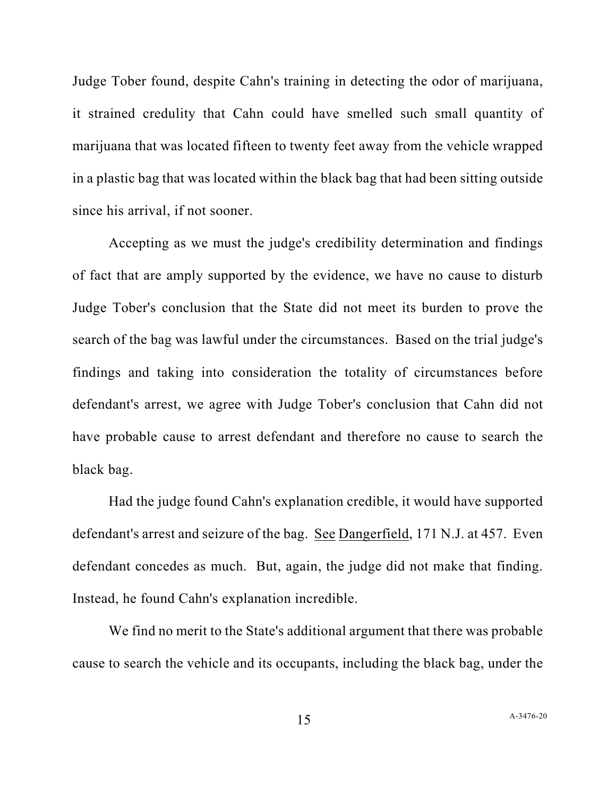Judge Tober found, despite Cahn's training in detecting the odor of marijuana, it strained credulity that Cahn could have smelled such small quantity of marijuana that was located fifteen to twenty feet away from the vehicle wrapped in a plastic bag that was located within the black bag that had been sitting outside since his arrival, if not sooner.

Accepting as we must the judge's credibility determination and findings of fact that are amply supported by the evidence, we have no cause to disturb Judge Tober's conclusion that the State did not meet its burden to prove the search of the bag was lawful under the circumstances. Based on the trial judge's findings and taking into consideration the totality of circumstances before defendant's arrest, we agree with Judge Tober's conclusion that Cahn did not have probable cause to arrest defendant and therefore no cause to search the black bag.

Had the judge found Cahn's explanation credible, it would have supported defendant's arrest and seizure of the bag. See Dangerfield, 171 N.J. at 457. Even defendant concedes as much. But, again, the judge did not make that finding. Instead, he found Cahn's explanation incredible.

We find no merit to the State's additional argument that there was probable cause to search the vehicle and its occupants, including the black bag, under the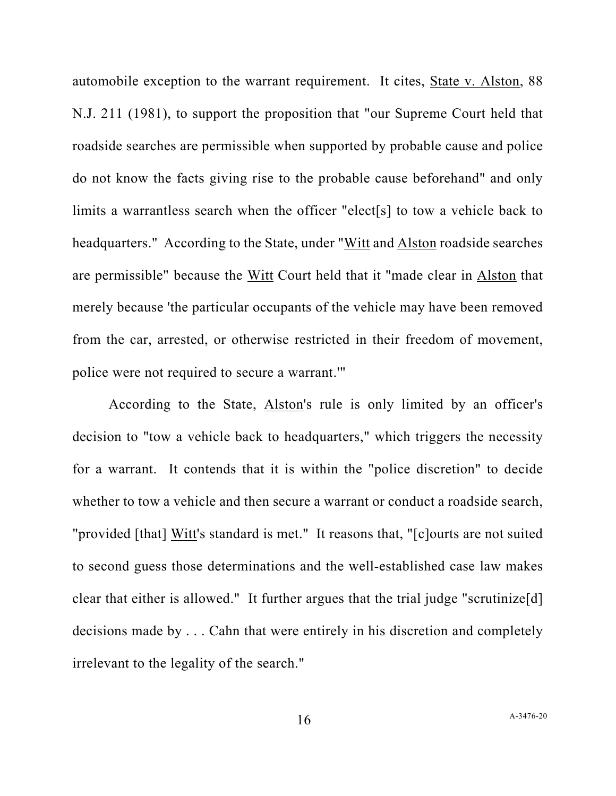automobile exception to the warrant requirement. It cites, State v. Alston, 88 N.J. 211 (1981), to support the proposition that "our Supreme Court held that roadside searches are permissible when supported by probable cause and police do not know the facts giving rise to the probable cause beforehand" and only limits a warrantless search when the officer "elect[s] to tow a vehicle back to headquarters." According to the State, under "Witt and Alston roadside searches are permissible" because the Witt Court held that it "made clear in Alston that merely because 'the particular occupants of the vehicle may have been removed from the car, arrested, or otherwise restricted in their freedom of movement, police were not required to secure a warrant.'"

According to the State, Alston's rule is only limited by an officer's decision to "tow a vehicle back to headquarters," which triggers the necessity for a warrant. It contends that it is within the "police discretion" to decide whether to tow a vehicle and then secure a warrant or conduct a roadside search, "provided [that] Witt's standard is met." It reasons that, "[c]ourts are not suited to second guess those determinations and the well-established case law makes clear that either is allowed." It further argues that the trial judge "scrutinize[d] decisions made by . . . Cahn that were entirely in his discretion and completely irrelevant to the legality of the search."